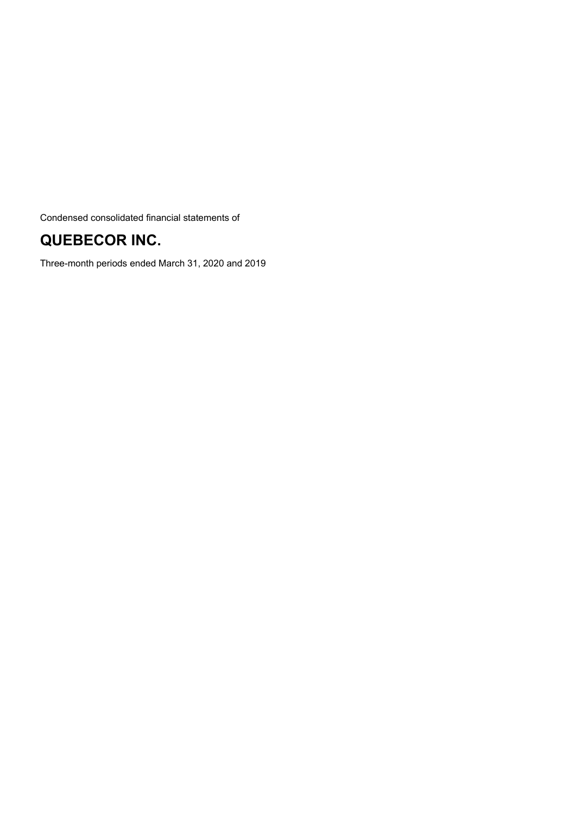Condensed consolidated financial statements of

# **QUEBECOR INC.**

Three-month periods ended March 31, 2020 and 2019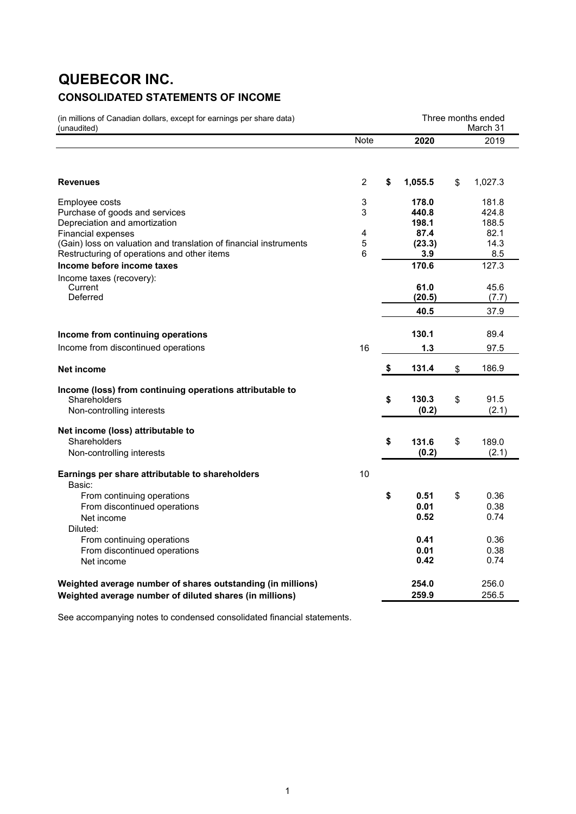# **QUEBECOR INC. CONSOLIDATED STATEMENTS OF INCOME**

| (in millions of Canadian dollars, except for earnings per share data)<br>(unaudited)                                                          |                       | Three months ended<br>March 31 |    |                         |  |  |
|-----------------------------------------------------------------------------------------------------------------------------------------------|-----------------------|--------------------------------|----|-------------------------|--|--|
|                                                                                                                                               | <b>Note</b>           | 2020                           |    | 2019                    |  |  |
| <b>Revenues</b>                                                                                                                               | $\overline{2}$        | \$<br>1,055.5                  | \$ | 1,027.3                 |  |  |
| Employee costs<br>Purchase of goods and services<br>Depreciation and amortization                                                             | 3<br>3                | 178.0<br>440.8<br>198.1        |    | 181.8<br>424.8<br>188.5 |  |  |
| <b>Financial expenses</b><br>(Gain) loss on valuation and translation of financial instruments<br>Restructuring of operations and other items | 4<br>$\mathbf 5$<br>6 | 87.4<br>(23.3)<br>3.9          |    | 82.1<br>14.3<br>8.5     |  |  |
| Income before income taxes<br>Income taxes (recovery):<br>Current<br>Deferred                                                                 |                       | 170.6<br>61.0<br>(20.5)        |    | 127.3<br>45.6<br>(7.7)  |  |  |
|                                                                                                                                               |                       | 40.5                           |    | 37.9                    |  |  |
| Income from continuing operations                                                                                                             |                       | 130.1                          |    | 89.4                    |  |  |
| Income from discontinued operations                                                                                                           | 16                    | 1.3                            |    | 97.5                    |  |  |
| <b>Net income</b>                                                                                                                             |                       | \$<br>131.4                    | \$ | 186.9                   |  |  |
| Income (loss) from continuing operations attributable to<br>Shareholders<br>Non-controlling interests                                         |                       | \$<br>130.3<br>(0.2)           | \$ | 91.5<br>(2.1)           |  |  |
| Net income (loss) attributable to<br>Shareholders                                                                                             |                       | \$<br>131.6                    | \$ | 189.0                   |  |  |
| Non-controlling interests                                                                                                                     |                       | (0.2)                          |    | (2.1)                   |  |  |
| Earnings per share attributable to shareholders<br>Basic:                                                                                     | 10                    |                                |    |                         |  |  |
| From continuing operations<br>From discontinued operations<br>Net income                                                                      |                       | \$<br>0.51<br>0.01<br>0.52     | \$ | 0.36<br>0.38<br>0.74    |  |  |
| Diluted:<br>From continuing operations<br>From discontinued operations<br>Net income                                                          |                       | 0.41<br>0.01<br>0.42           |    | 0.36<br>0.38<br>0.74    |  |  |
| Weighted average number of shares outstanding (in millions)<br>Weighted average number of diluted shares (in millions)                        |                       | 254.0<br>259.9                 |    | 256.0<br>256.5          |  |  |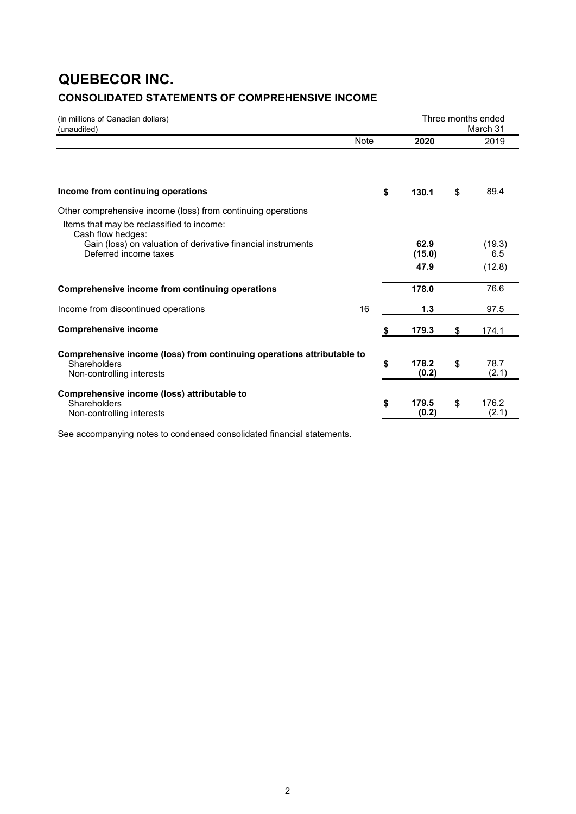# **QUEBECOR INC. CONSOLIDATED STATEMENTS OF COMPREHENSIVE INCOME**

| (in millions of Canadian dollars)<br>(unaudited)                                                                                                        |             | Three months ended<br>March 31 |    |                |
|---------------------------------------------------------------------------------------------------------------------------------------------------------|-------------|--------------------------------|----|----------------|
|                                                                                                                                                         | <b>Note</b> | 2020                           |    | 2019           |
| Income from continuing operations                                                                                                                       |             | \$<br>130.1                    | \$ | 89.4           |
| Other comprehensive income (loss) from continuing operations                                                                                            |             |                                |    |                |
| Items that may be reclassified to income:<br>Cash flow hedges:<br>Gain (loss) on valuation of derivative financial instruments<br>Deferred income taxes |             | 62.9<br>(15.0)                 |    | (19.3)<br>6.5  |
|                                                                                                                                                         |             | 47.9                           |    | (12.8)         |
| Comprehensive income from continuing operations                                                                                                         |             | 178.0                          |    | 76.6           |
| Income from discontinued operations                                                                                                                     | 16          | 1.3                            |    | 97.5           |
| <b>Comprehensive income</b>                                                                                                                             |             | \$<br>179.3                    | \$ | 174.1          |
| Comprehensive income (loss) from continuing operations attributable to<br>Shareholders<br>Non-controlling interests                                     |             | \$<br>178.2<br>(0.2)           | \$ | 78.7<br>(2.1)  |
| Comprehensive income (loss) attributable to<br>Shareholders<br>Non-controlling interests                                                                |             | \$<br>179.5<br>(0.2)           | \$ | 176.2<br>(2.1) |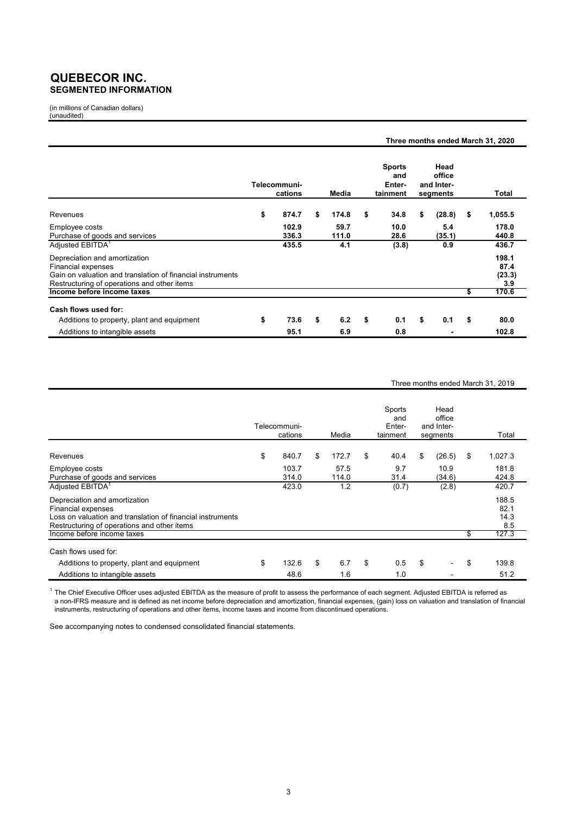### **QUEBECOR INC. SEGMENTED INFORMATION**

(in millions of Canadian dollars) (unaudited)

|                                                                                                                                                                  |                         |    |               |    |                                            |                                          |     | Three months ended March 31, 2020 |
|------------------------------------------------------------------------------------------------------------------------------------------------------------------|-------------------------|----|---------------|----|--------------------------------------------|------------------------------------------|-----|-----------------------------------|
|                                                                                                                                                                  | Telecommuni-<br>cations |    | Media         |    | <b>Sports</b><br>and<br>Enter-<br>tainment | Head<br>office<br>and Inter-<br>segments |     | Total                             |
| Revenues                                                                                                                                                         | \$<br>874.7             | \$ | 174.8         | \$ | 34.8                                       | \$<br>(28.8)                             | -\$ | 1,055.5                           |
| Employee costs<br>Purchase of goods and services                                                                                                                 | 102.9<br>336.3          |    | 59.7<br>111.0 |    | 10.0<br>28.6                               | 5.4<br>(35.1)                            |     | 178.0<br>440.8                    |
| Adjusted EBITDA <sup>1</sup>                                                                                                                                     | 435.5                   |    | 4.1           |    | (3.8)                                      | 0.9                                      |     | 436.7                             |
| Depreciation and amortization<br>Financial expenses<br>Gain on valuation and translation of financial instruments<br>Restructuring of operations and other items |                         |    |               |    |                                            |                                          |     | 198.1<br>87.4<br>(23.3)<br>3.9    |
| Income before income taxes                                                                                                                                       |                         |    |               |    |                                            |                                          | \$  | 170.6                             |
| Cash flows used for:<br>Additions to property, plant and equipment                                                                                               | \$<br>73.6              | \$ | 6.2           | \$ | 0.1                                        | \$<br>0.1                                | \$  | 80.0                              |
| Additions to intangible assets                                                                                                                                   | 95.1                    |    | 6.9           |    | 0.8                                        |                                          |     | 102.8                             |

### Three months ended March 31, 2019

|                                                                                                                                                                  | Telecommuni-<br>cations | Media            | Sports<br>and<br>Enter-<br>tainment | Head<br>office<br>and Inter-<br>segments | Total                        |
|------------------------------------------------------------------------------------------------------------------------------------------------------------------|-------------------------|------------------|-------------------------------------|------------------------------------------|------------------------------|
| Revenues                                                                                                                                                         | \$<br>840.7             | \$<br>172.7      | \$<br>40.4                          | \$<br>(26.5)                             | \$<br>1,027.3                |
| Employee costs<br>Purchase of goods and services                                                                                                                 | 103.7<br>314.0          | 57.5<br>114.0    | 9.7<br>31.4                         | 10.9<br>(34.6)                           | 181.8<br>424.8               |
| Adjusted EBITDA <sup>1</sup>                                                                                                                                     | 423.0                   | 1.2              | (0.7)                               | (2.8)                                    | 420.7                        |
| Depreciation and amortization<br>Financial expenses<br>Loss on valuation and translation of financial instruments<br>Restructuring of operations and other items |                         |                  |                                     |                                          | 188.5<br>82.1<br>14.3<br>8.5 |
| Income before income taxes                                                                                                                                       |                         |                  |                                     |                                          | \$<br>127.3                  |
| Cash flows used for:                                                                                                                                             |                         |                  |                                     |                                          |                              |
| Additions to property, plant and equipment<br>Additions to intangible assets                                                                                     | \$<br>132.6<br>48.6     | \$<br>6.7<br>1.6 | \$<br>0.5<br>1.0                    | \$                                       | \$<br>139.8<br>51.2          |

 $^{\rm 1}$  The Chief Executive Officer uses adjusted EBITDA as the measure of profit to assess the performance of each segment. Adjusted EBITDA is referred as a non-IFRS measure and is defined as net income before depreciation and amortization, financial expenses, (gain) loss on valuation and translation of financial instruments, restructuring of operations and other items, income taxes and income from discontinued operations.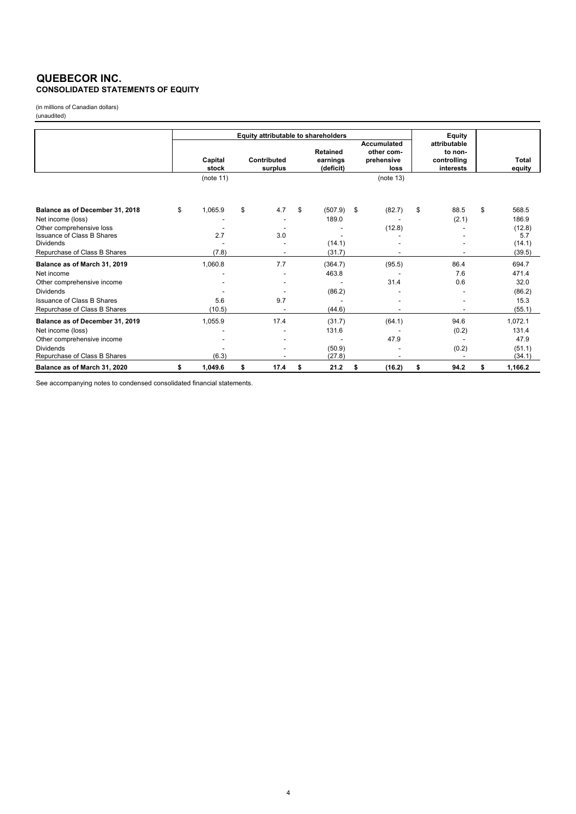### **QUEBECOR INC. CONSOLIDATED STATEMENTS OF EQUITY**

(in millions of Canadian dollars) (unaudited)

|                                   | Equity attributable to shareholders |                  |    |                        |    |                                   |    | Equity                                                 |                                                     |    |                 |
|-----------------------------------|-------------------------------------|------------------|----|------------------------|----|-----------------------------------|----|--------------------------------------------------------|-----------------------------------------------------|----|-----------------|
|                                   |                                     | Capital<br>stock |    | Contributed<br>surplus |    | Retained<br>earnings<br>(deficit) |    | <b>Accumulated</b><br>other com-<br>prehensive<br>loss | attributable<br>to non-<br>controlling<br>interests |    | Total<br>equity |
|                                   |                                     | (note 11)        |    |                        |    |                                   |    | (note 13)                                              |                                                     |    |                 |
| Balance as of December 31, 2018   | \$                                  | 1,065.9          | \$ | 4.7                    | \$ | (507.9)                           | \$ | (82.7)                                                 | \$<br>88.5                                          | \$ | 568.5           |
| Net income (loss)                 |                                     |                  |    |                        |    | 189.0                             |    |                                                        | (2.1)                                               |    | 186.9           |
| Other comprehensive loss          |                                     |                  |    |                        |    |                                   |    | (12.8)                                                 |                                                     |    | (12.8)          |
| <b>Issuance of Class B Shares</b> |                                     | 2.7              |    | 3.0                    |    |                                   |    |                                                        |                                                     |    | 5.7             |
| <b>Dividends</b>                  |                                     |                  |    |                        |    | (14.1)                            |    |                                                        |                                                     |    | (14.1)          |
| Repurchase of Class B Shares      |                                     | (7.8)            |    |                        |    | (31.7)                            |    |                                                        |                                                     |    | (39.5)          |
| Balance as of March 31, 2019      |                                     | 1,060.8          |    | 7.7                    |    | (364.7)                           |    | (95.5)                                                 | 86.4                                                |    | 694.7           |
| Net income                        |                                     |                  |    |                        |    | 463.8                             |    |                                                        | 7.6                                                 |    | 471.4           |
| Other comprehensive income        |                                     |                  |    |                        |    |                                   |    | 31.4                                                   | 0.6                                                 |    | 32.0            |
| <b>Dividends</b>                  |                                     |                  |    |                        |    | (86.2)                            |    |                                                        |                                                     |    | (86.2)          |
| <b>Issuance of Class B Shares</b> |                                     | 5.6              |    | 9.7                    |    |                                   |    |                                                        |                                                     |    | 15.3            |
| Repurchase of Class B Shares      |                                     | (10.5)           |    |                        |    | (44.6)                            |    |                                                        |                                                     |    | (55.1)          |
| Balance as of December 31, 2019   |                                     | 1,055.9          |    | 17.4                   |    | (31.7)                            |    | (64.1)                                                 | 94.6                                                |    | 1,072.1         |
| Net income (loss)                 |                                     |                  |    |                        |    | 131.6                             |    |                                                        | (0.2)                                               |    | 131.4           |
| Other comprehensive income        |                                     |                  |    |                        |    |                                   |    | 47.9                                                   |                                                     |    | 47.9            |
| <b>Dividends</b>                  |                                     |                  |    |                        |    | (50.9)                            |    |                                                        | (0.2)                                               |    | (51.1)          |
| Repurchase of Class B Shares      |                                     | (6.3)            |    |                        |    | (27.8)                            |    |                                                        |                                                     |    | (34.1)          |
| Balance as of March 31, 2020      | \$                                  | 1,049.6          | \$ | 17.4                   | \$ | 21.2                              | \$ | (16.2)                                                 | \$<br>94.2                                          | \$ | 1,166.2         |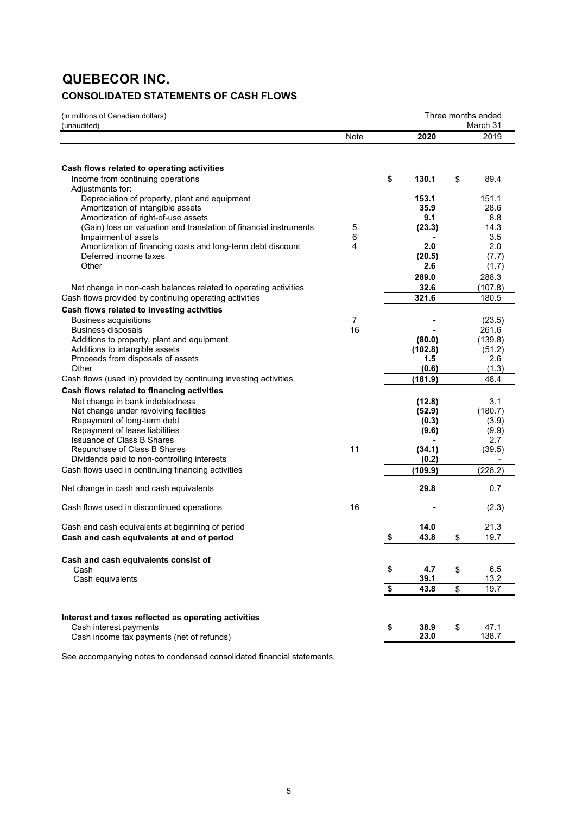# **QUEBECOR INC.**

## **CONSOLIDATED STATEMENTS OF CASH FLOWS**

| (in millions of Canadian dollars)<br>(unaudited)                                   |                      | Three months ended<br>March 31 |    |                 |
|------------------------------------------------------------------------------------|----------------------|--------------------------------|----|-----------------|
|                                                                                    | Note                 | 2020                           |    | 2019            |
| Cash flows related to operating activities                                         |                      |                                |    |                 |
| Income from continuing operations                                                  |                      | \$<br>130.1                    | \$ | 89.4            |
| Adjustments for:                                                                   |                      |                                |    |                 |
| Depreciation of property, plant and equipment<br>Amortization of intangible assets |                      | 153.1<br>35.9                  |    | 151.1<br>28.6   |
| Amortization of right-of-use assets                                                |                      | 9.1                            |    | 8.8             |
| (Gain) loss on valuation and translation of financial instruments                  | 5                    | (23.3)                         |    | 14.3            |
| Impairment of assets                                                               | 6                    |                                |    | 3.5             |
| Amortization of financing costs and long-term debt discount                        | 4                    | 2.0                            |    | 2.0             |
| Deferred income taxes                                                              |                      | (20.5)                         |    | (7.7)           |
| Other                                                                              |                      | 2.6                            |    | (1.7)           |
|                                                                                    |                      | 289.0                          |    | 288.3           |
| Net change in non-cash balances related to operating activities                    |                      | 32.6                           |    | (107.8)         |
| Cash flows provided by continuing operating activities                             |                      | 321.6                          |    | 180.5           |
| Cash flows related to investing activities                                         |                      |                                |    |                 |
| <b>Business acquisitions</b><br><b>Business disposals</b>                          | $\overline{7}$<br>16 |                                |    | (23.5)<br>261.6 |
| Additions to property, plant and equipment                                         |                      | (80.0)                         |    | (139.8)         |
| Additions to intangible assets                                                     |                      | (102.8)                        |    | (51.2)          |
| Proceeds from disposals of assets                                                  |                      | 1.5                            |    | 2.6             |
| Other                                                                              |                      | (0.6)                          |    | (1.3)           |
| Cash flows (used in) provided by continuing investing activities                   |                      | (181.9)                        |    | 48.4            |
| Cash flows related to financing activities                                         |                      |                                |    |                 |
| Net change in bank indebtedness                                                    |                      | (12.8)                         |    | 3.1             |
| Net change under revolving facilities                                              |                      | (52.9)                         |    | (180.7)         |
| Repayment of long-term debt                                                        |                      | (0.3)                          |    | (3.9)           |
| Repayment of lease liabilities<br><b>Issuance of Class B Shares</b>                |                      | (9.6)                          |    | (9.9)<br>2.7    |
| Repurchase of Class B Shares                                                       | 11                   | (34.1)                         |    | (39.5)          |
| Dividends paid to non-controlling interests                                        |                      | (0.2)                          |    |                 |
| Cash flows used in continuing financing activities                                 |                      | (109.9)                        |    | (228.2)         |
| Net change in cash and cash equivalents                                            |                      | 29.8                           |    | 0.7             |
| Cash flows used in discontinued operations                                         | 16                   |                                |    | (2.3)           |
| Cash and cash equivalents at beginning of period                                   |                      | 14.0                           |    | 21.3            |
| Cash and cash equivalents at end of period                                         |                      | \$<br>43.8                     | \$ | 19.7            |
|                                                                                    |                      |                                |    |                 |
| Cash and cash equivalents consist of                                               |                      |                                |    |                 |
| Cash                                                                               |                      | \$<br>4.7                      | \$ | 6.5             |
| Cash equivalents                                                                   |                      | 39.1                           |    | 13.2            |
|                                                                                    |                      | \$<br>43.8                     | \$ | 19.7            |
|                                                                                    |                      |                                |    |                 |
| Interest and taxes reflected as operating activities<br>Cash interest payments     |                      | 38.9                           | \$ | 47.1            |
| Cash income tax payments (net of refunds)                                          |                      | \$<br>23.0                     |    | 138.7           |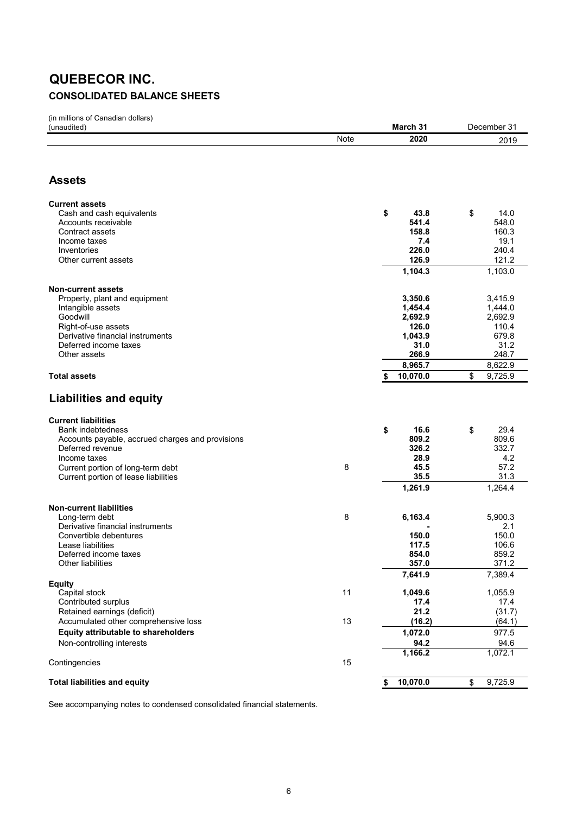# **QUEBECOR INC. CONSOLIDATED BALANCE SHEETS**

(in millions of Canadian dollars)

| (unaudited)                                      |      | March 31         | December 31        |
|--------------------------------------------------|------|------------------|--------------------|
|                                                  | Note | 2020             | 2019               |
|                                                  |      |                  |                    |
|                                                  |      |                  |                    |
| <b>Assets</b>                                    |      |                  |                    |
| <b>Current assets</b>                            |      |                  |                    |
| Cash and cash equivalents                        |      | \$<br>43.8       | \$<br>14.0         |
| Accounts receivable                              |      | 541.4            | 548.0              |
| Contract assets                                  |      | 158.8            | 160.3              |
| Income taxes                                     |      | 7.4              | 19.1               |
| Inventories                                      |      | 226.0            | 240.4              |
| Other current assets                             |      | 126.9<br>1,104.3 | 121.2<br>1,103.0   |
|                                                  |      |                  |                    |
| <b>Non-current assets</b>                        |      |                  |                    |
| Property, plant and equipment                    |      | 3,350.6          | 3,415.9            |
| Intangible assets                                |      | 1,454.4          | 1,444.0<br>2,692.9 |
| Goodwill<br>Right-of-use assets                  |      | 2,692.9<br>126.0 | 110.4              |
| Derivative financial instruments                 |      | 1,043.9          | 679.8              |
| Deferred income taxes                            |      | 31.0             | 31.2               |
| Other assets                                     |      | 266.9            | 248.7              |
|                                                  |      | 8,965.7          | 8,622.9            |
| <b>Total assets</b>                              |      | 10,070.0<br>\$   | \$<br>9,725.9      |
|                                                  |      |                  |                    |
| <b>Liabilities and equity</b>                    |      |                  |                    |
| <b>Current liabilities</b>                       |      |                  |                    |
| Bank indebtedness                                |      | 16.6<br>\$       | \$<br>29.4         |
| Accounts payable, accrued charges and provisions |      | 809.2            | 809.6              |
| Deferred revenue                                 |      | 326.2            | 332.7              |
| Income taxes                                     | 8    | 28.9             | 4.2                |
| Current portion of long-term debt                |      | 45.5<br>35.5     | 57.2<br>31.3       |
| Current portion of lease liabilities             |      | 1,261.9          | 1,264.4            |
|                                                  |      |                  |                    |
| <b>Non-current liabilities</b>                   |      |                  |                    |
| Long-term debt                                   | 8    | 6,163.4          | 5,900.3            |
| Derivative financial instruments                 |      |                  | 2.1                |
| Convertible debentures<br>Lease liabilities      |      | 150.0<br>117.5   | 150.0<br>106.6     |
| Deferred income taxes                            |      | 854.0            | 859.2              |
| Other liabilities                                |      | 357.0            | 371.2              |
|                                                  |      | 7,641.9          | 7,389.4            |
| <b>Equity</b>                                    |      |                  |                    |
| Capital stock<br>Contributed surplus             | 11   | 1,049.6<br>17.4  | 1,055.9<br>17.4    |
| Retained earnings (deficit)                      |      | 21.2             | (31.7)             |
| Accumulated other comprehensive loss             | 13   | (16.2)           | (64.1)             |
| Equity attributable to shareholders              |      | 1,072.0          | 977.5              |
| Non-controlling interests                        |      | 94.2             | 94.6               |
|                                                  |      | 1,166.2          | 1,072.1            |
| Contingencies                                    | 15   |                  |                    |
|                                                  |      |                  |                    |
| <b>Total liabilities and equity</b>              |      | 10,070.0<br>\$   | 9,725.9<br>\$      |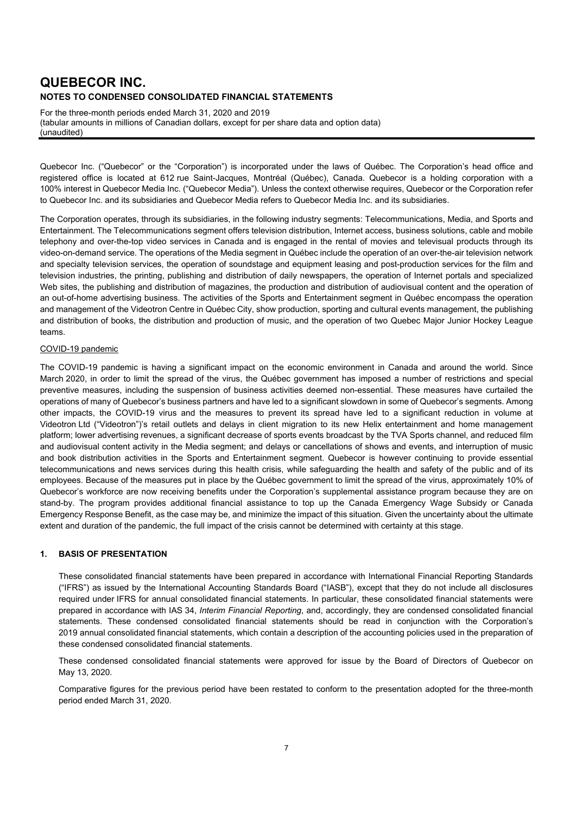For the three-month periods ended March 31, 2020 and 2019 (tabular amounts in millions of Canadian dollars, except for per share data and option data) (unaudited)

Quebecor Inc. ("Quebecor" or the "Corporation") is incorporated under the laws of Québec. The Corporation's head office and registered office is located at 612 rue Saint-Jacques, Montréal (Québec), Canada. Quebecor is a holding corporation with a 100% interest in Quebecor Media Inc. ("Quebecor Media"). Unless the context otherwise requires, Quebecor or the Corporation refer to Quebecor Inc. and its subsidiaries and Quebecor Media refers to Quebecor Media Inc. and its subsidiaries.

The Corporation operates, through its subsidiaries, in the following industry segments: Telecommunications, Media, and Sports and Entertainment. The Telecommunications segment offers television distribution, Internet access, business solutions, cable and mobile telephony and over-the-top video services in Canada and is engaged in the rental of movies and televisual products through its video-on-demand service. The operations of the Media segment in Québec include the operation of an over-the-air television network and specialty television services, the operation of soundstage and equipment leasing and post-production services for the film and television industries, the printing, publishing and distribution of daily newspapers, the operation of Internet portals and specialized Web sites, the publishing and distribution of magazines, the production and distribution of audiovisual content and the operation of an out-of-home advertising business. The activities of the Sports and Entertainment segment in Québec encompass the operation and management of the Videotron Centre in Québec City, show production, sporting and cultural events management, the publishing and distribution of books, the distribution and production of music, and the operation of two Quebec Major Junior Hockey League teams.

#### COVID-19 pandemic

The COVID-19 pandemic is having a significant impact on the economic environment in Canada and around the world. Since March 2020, in order to limit the spread of the virus, the Québec government has imposed a number of restrictions and special preventive measures, including the suspension of business activities deemed non-essential. These measures have curtailed the operations of many of Quebecor's business partners and have led to a significant slowdown in some of Quebecor's segments. Among other impacts, the COVID-19 virus and the measures to prevent its spread have led to a significant reduction in volume at Videotron Ltd ("Videotron")'s retail outlets and delays in client migration to its new Helix entertainment and home management platform; lower advertising revenues, a significant decrease of sports events broadcast by the TVA Sports channel, and reduced film and audiovisual content activity in the Media segment; and delays or cancellations of shows and events, and interruption of music and book distribution activities in the Sports and Entertainment segment. Quebecor is however continuing to provide essential telecommunications and news services during this health crisis, while safeguarding the health and safety of the public and of its employees. Because of the measures put in place by the Québec government to limit the spread of the virus, approximately 10% of Quebecor's workforce are now receiving benefits under the Corporation's supplemental assistance program because they are on stand-by. The program provides additional financial assistance to top up the Canada Emergency Wage Subsidy or Canada Emergency Response Benefit, as the case may be, and minimize the impact of this situation. Given the uncertainty about the ultimate extent and duration of the pandemic, the full impact of the crisis cannot be determined with certainty at this stage.

#### **1. BASIS OF PRESENTATION**

These consolidated financial statements have been prepared in accordance with International Financial Reporting Standards ("IFRS") as issued by the International Accounting Standards Board ("IASB"), except that they do not include all disclosures required under IFRS for annual consolidated financial statements. In particular, these consolidated financial statements were prepared in accordance with IAS 34, *Interim Financial Reporting*, and, accordingly, they are condensed consolidated financial statements. These condensed consolidated financial statements should be read in conjunction with the Corporation's 2019 annual consolidated financial statements, which contain a description of the accounting policies used in the preparation of these condensed consolidated financial statements.

These condensed consolidated financial statements were approved for issue by the Board of Directors of Quebecor on May 13, 2020.

Comparative figures for the previous period have been restated to conform to the presentation adopted for the three-month period ended March 31, 2020.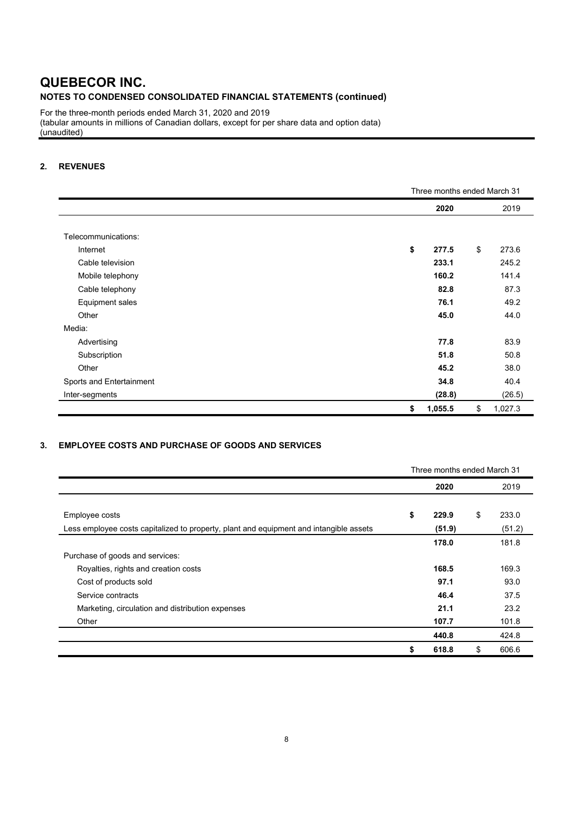For the three-month periods ended March 31, 2020 and 2019 (tabular amounts in millions of Canadian dollars, except for per share data and option data) (unaudited)

### **2. REVENUES**

|                          | Three months ended March 31 |    |         |  |  |  |
|--------------------------|-----------------------------|----|---------|--|--|--|
|                          | 2020                        |    | 2019    |  |  |  |
|                          |                             |    |         |  |  |  |
| Telecommunications:      |                             |    |         |  |  |  |
| Internet                 | \$<br>277.5                 | \$ | 273.6   |  |  |  |
| Cable television         | 233.1                       |    | 245.2   |  |  |  |
| Mobile telephony         | 160.2                       |    | 141.4   |  |  |  |
| Cable telephony          | 82.8                        |    | 87.3    |  |  |  |
| Equipment sales          | 76.1                        |    | 49.2    |  |  |  |
| Other                    | 45.0                        |    | 44.0    |  |  |  |
| Media:                   |                             |    |         |  |  |  |
| Advertising              | 77.8                        |    | 83.9    |  |  |  |
| Subscription             | 51.8                        |    | 50.8    |  |  |  |
| Other                    | 45.2                        |    | 38.0    |  |  |  |
| Sports and Entertainment | 34.8                        |    | 40.4    |  |  |  |
| Inter-segments           | (28.8)                      |    | (26.5)  |  |  |  |
|                          | \$<br>1,055.5               | \$ | 1,027.3 |  |  |  |

### **3. EMPLOYEE COSTS AND PURCHASE OF GOODS AND SERVICES**

|                                                                                        |    | Three months ended March 31 |    |                 |
|----------------------------------------------------------------------------------------|----|-----------------------------|----|-----------------|
|                                                                                        |    | 2020                        |    | 2019            |
| Employee costs                                                                         | \$ | 229.9                       | \$ | 233.0           |
| Less employee costs capitalized to property, plant and equipment and intangible assets |    | (51.9)<br>178.0             |    | (51.2)<br>181.8 |
| Purchase of goods and services:                                                        |    |                             |    |                 |
| Royalties, rights and creation costs                                                   |    | 168.5                       |    | 169.3           |
| Cost of products sold                                                                  |    | 97.1                        |    | 93.0            |
| Service contracts                                                                      |    | 46.4                        |    | 37.5            |
| Marketing, circulation and distribution expenses                                       |    | 21.1                        |    | 23.2            |
| Other                                                                                  |    | 107.7                       |    | 101.8           |
|                                                                                        |    | 440.8                       |    | 424.8           |
|                                                                                        | \$ | 618.8                       | \$ | 606.6           |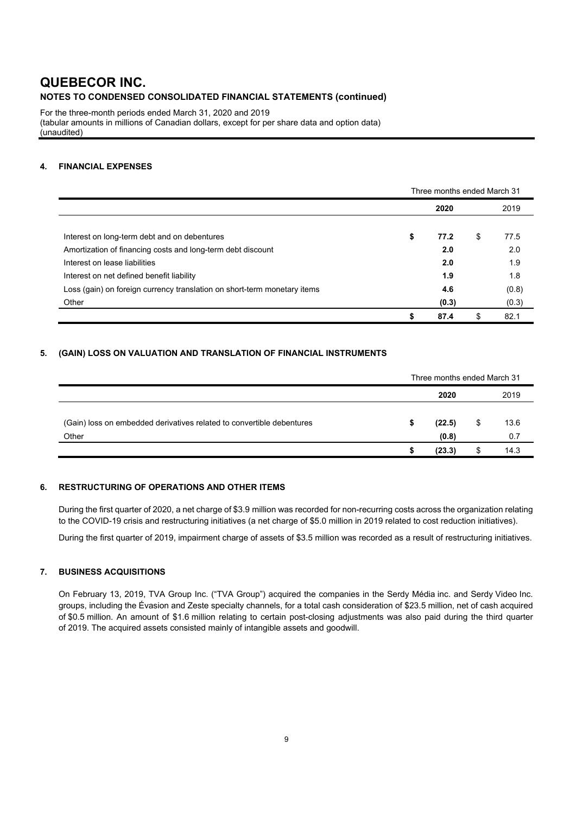For the three-month periods ended March 31, 2020 and 2019 (tabular amounts in millions of Canadian dollars, except for per share data and option data) (unaudited)

### **4. FINANCIAL EXPENSES**

|                                                                          | Three months ended March 31 |       |    |       |  |  |
|--------------------------------------------------------------------------|-----------------------------|-------|----|-------|--|--|
|                                                                          |                             | 2020  |    | 2019  |  |  |
|                                                                          |                             |       |    |       |  |  |
| Interest on long-term debt and on debentures                             | \$                          | 77.2  | \$ | 77.5  |  |  |
| Amortization of financing costs and long-term debt discount              |                             | 2.0   |    | 2.0   |  |  |
| Interest on lease liabilities                                            |                             | 2.0   |    | 1.9   |  |  |
| Interest on net defined benefit liability                                |                             | 1.9   |    | 1.8   |  |  |
| Loss (gain) on foreign currency translation on short-term monetary items |                             | 4.6   |    | (0.8) |  |  |
| Other                                                                    |                             | (0.3) |    | (0.3) |  |  |
|                                                                          | S                           | 87.4  | \$ | 82.1  |  |  |

### **5. (GAIN) LOSS ON VALUATION AND TRANSLATION OF FINANCIAL INSTRUMENTS**

|                                                                                | Three months ended March 31 |                 |    |             |  |
|--------------------------------------------------------------------------------|-----------------------------|-----------------|----|-------------|--|
|                                                                                |                             | 2020            |    | 2019        |  |
| (Gain) loss on embedded derivatives related to convertible debentures<br>Other |                             | (22.5)<br>(0.8) | \$ | 13.6<br>0.7 |  |
|                                                                                |                             | (23.3)          | \$ | 14.3        |  |

### **6. RESTRUCTURING OF OPERATIONS AND OTHER ITEMS**

During the first quarter of 2020, a net charge of \$3.9 million was recorded for non-recurring costs across the organization relating to the COVID-19 crisis and restructuring initiatives (a net charge of \$5.0 million in 2019 related to cost reduction initiatives).

During the first quarter of 2019, impairment charge of assets of \$3.5 million was recorded as a result of restructuring initiatives.

### **7. BUSINESS ACQUISITIONS**

On February 13, 2019, TVA Group Inc. ("TVA Group") acquired the companies in the Serdy Média inc. and Serdy Video Inc. groups, including the Évasion and Zeste specialty channels, for a total cash consideration of \$23.5 million, net of cash acquired of \$0.5 million. An amount of \$1.6 million relating to certain post-closing adjustments was also paid during the third quarter of 2019. The acquired assets consisted mainly of intangible assets and goodwill.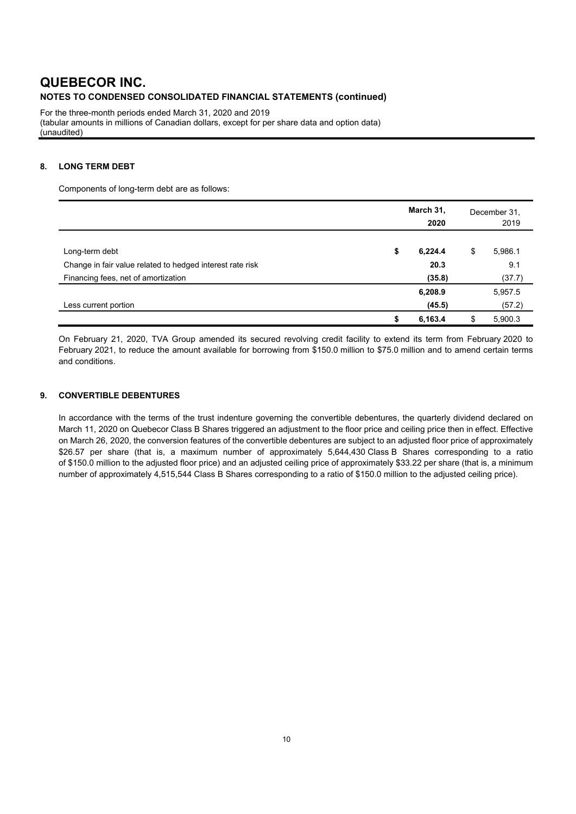For the three-month periods ended March 31, 2020 and 2019 (tabular amounts in millions of Canadian dollars, except for per share data and option data) (unaudited)

### **8. LONG TERM DEBT**

Components of long-term debt are as follows:

|                                                           | March 31, | December 31,<br>2019 |    |         |
|-----------------------------------------------------------|-----------|----------------------|----|---------|
| Long-term debt                                            | \$        | 6,224.4              | \$ | 5,986.1 |
| Change in fair value related to hedged interest rate risk |           | 20.3                 |    | 9.1     |
| Financing fees, net of amortization                       |           | (35.8)               |    | (37.7)  |
|                                                           |           | 6,208.9              |    | 5,957.5 |
| Less current portion                                      |           | (45.5)               |    | (57.2)  |
|                                                           | S         | 6,163.4              | S  | 5,900.3 |

On February 21, 2020, TVA Group amended its secured revolving credit facility to extend its term from February 2020 to February 2021, to reduce the amount available for borrowing from \$150.0 million to \$75.0 million and to amend certain terms and conditions.

#### **9. CONVERTIBLE DEBENTURES**

In accordance with the terms of the trust indenture governing the convertible debentures, the quarterly dividend declared on March 11, 2020 on Quebecor Class B Shares triggered an adjustment to the floor price and ceiling price then in effect. Effective on March 26, 2020, the conversion features of the convertible debentures are subject to an adjusted floor price of approximately \$26.57 per share (that is, a maximum number of approximately 5,644,430 Class B Shares corresponding to a ratio of \$150.0 million to the adjusted floor price) and an adjusted ceiling price of approximately \$33.22 per share (that is, a minimum number of approximately 4,515,544 Class B Shares corresponding to a ratio of \$150.0 million to the adjusted ceiling price).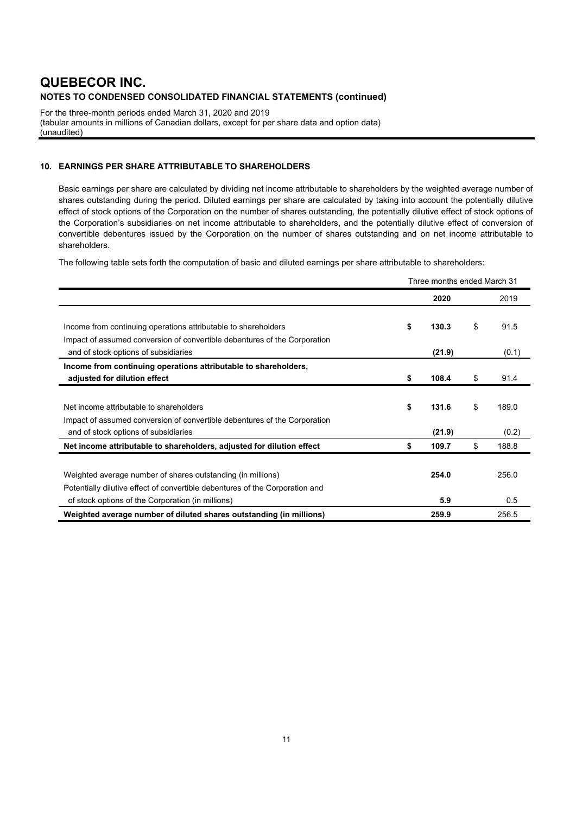For the three-month periods ended March 31, 2020 and 2019 (tabular amounts in millions of Canadian dollars, except for per share data and option data) (unaudited)

### **10. EARNINGS PER SHARE ATTRIBUTABLE TO SHAREHOLDERS**

Basic earnings per share are calculated by dividing net income attributable to shareholders by the weighted average number of shares outstanding during the period. Diluted earnings per share are calculated by taking into account the potentially dilutive effect of stock options of the Corporation on the number of shares outstanding, the potentially dilutive effect of stock options of the Corporation's subsidiaries on net income attributable to shareholders, and the potentially dilutive effect of conversion of convertible debentures issued by the Corporation on the number of shares outstanding and on net income attributable to shareholders.

The following table sets forth the computation of basic and diluted earnings per share attributable to shareholders:

|                                                                              | Three months ended March 31 |        |    |       |  |
|------------------------------------------------------------------------------|-----------------------------|--------|----|-------|--|
|                                                                              |                             | 2020   |    | 2019  |  |
|                                                                              |                             |        |    |       |  |
| Income from continuing operations attributable to shareholders               | \$                          | 130.3  | \$ | 91.5  |  |
| Impact of assumed conversion of convertible debentures of the Corporation    |                             |        |    |       |  |
| and of stock options of subsidiaries                                         |                             | (21.9) |    | (0.1) |  |
| Income from continuing operations attributable to shareholders,              |                             |        |    |       |  |
| adjusted for dilution effect                                                 | \$                          | 108.4  | \$ | 91.4  |  |
|                                                                              |                             |        |    |       |  |
| Net income attributable to shareholders                                      | \$                          | 131.6  | \$ | 189.0 |  |
| Impact of assumed conversion of convertible debentures of the Corporation    |                             |        |    |       |  |
| and of stock options of subsidiaries                                         |                             | (21.9) |    | (0.2) |  |
| Net income attributable to shareholders, adjusted for dilution effect        | \$                          | 109.7  | \$ | 188.8 |  |
|                                                                              |                             |        |    |       |  |
| Weighted average number of shares outstanding (in millions)                  |                             | 254.0  |    | 256.0 |  |
| Potentially dilutive effect of convertible debentures of the Corporation and |                             |        |    |       |  |
| of stock options of the Corporation (in millions)                            |                             | 5.9    |    | 0.5   |  |
| Weighted average number of diluted shares outstanding (in millions)          |                             | 259.9  |    | 256.5 |  |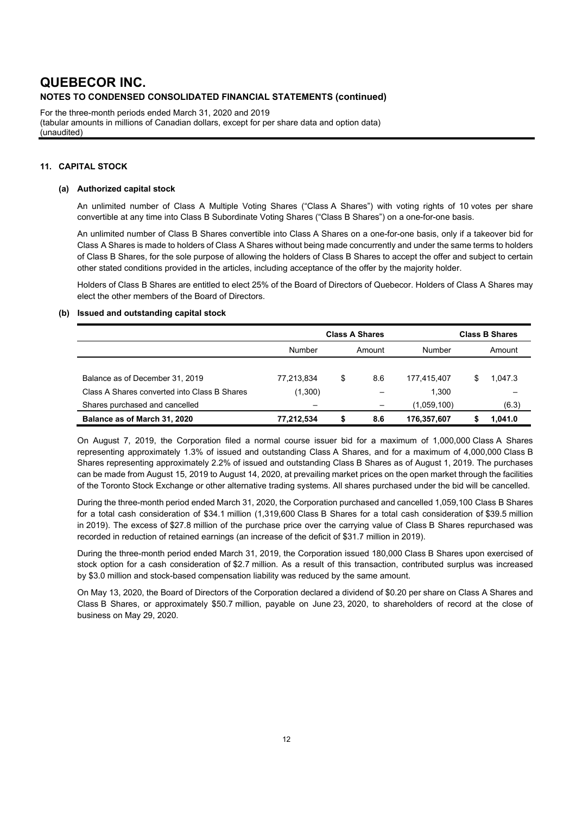For the three-month periods ended March 31, 2020 and 2019 (tabular amounts in millions of Canadian dollars, except for per share data and option data) (unaudited)

#### **11. CAPITAL STOCK**

#### **(a) Authorized capital stock**

An unlimited number of Class A Multiple Voting Shares ("Class A Shares") with voting rights of 10 votes per share convertible at any time into Class B Subordinate Voting Shares ("Class B Shares") on a one-for-one basis.

An unlimited number of Class B Shares convertible into Class A Shares on a one-for-one basis, only if a takeover bid for Class A Shares is made to holders of Class A Shares without being made concurrently and under the same terms to holders of Class B Shares, for the sole purpose of allowing the holders of Class B Shares to accept the offer and subject to certain other stated conditions provided in the articles, including acceptance of the offer by the majority holder.

Holders of Class B Shares are entitled to elect 25% of the Board of Directors of Quebecor. Holders of Class A Shares may elect the other members of the Board of Directors.

#### **(b) Issued and outstanding capital stock**

|                                              | <b>Class A Shares</b>    |    |        |             | <b>Class B Shares</b> |         |  |  |
|----------------------------------------------|--------------------------|----|--------|-------------|-----------------------|---------|--|--|
|                                              | Number                   |    | Amount | Number      | Amount                |         |  |  |
|                                              |                          |    |        |             |                       |         |  |  |
| Balance as of December 31, 2019              | 77,213,834               | \$ | 8.6    | 177.415.407 | S                     | 1.047.3 |  |  |
| Class A Shares converted into Class B Shares | (1,300)                  |    | -      | 1.300       |                       |         |  |  |
| Shares purchased and cancelled               | $\overline{\phantom{0}}$ |    | -      | (1,059,100) |                       | (6.3)   |  |  |
| Balance as of March 31, 2020                 | 77,212,534               | S  | 8.6    | 176,357,607 |                       | 1.041.0 |  |  |

On August 7, 2019, the Corporation filed a normal course issuer bid for a maximum of 1,000,000 Class A Shares representing approximately 1.3% of issued and outstanding Class A Shares, and for a maximum of 4,000,000 Class B Shares representing approximately 2.2% of issued and outstanding Class B Shares as of August 1, 2019. The purchases can be made from August 15, 2019 to August 14, 2020, at prevailing market prices on the open market through the facilities of the Toronto Stock Exchange or other alternative trading systems. All shares purchased under the bid will be cancelled.

During the three-month period ended March 31, 2020, the Corporation purchased and cancelled 1,059,100 Class B Shares for a total cash consideration of \$34.1 million (1,319,600 Class B Shares for a total cash consideration of \$39.5 million in 2019). The excess of \$27.8 million of the purchase price over the carrying value of Class B Shares repurchased was recorded in reduction of retained earnings (an increase of the deficit of \$31.7 million in 2019).

During the three-month period ended March 31, 2019, the Corporation issued 180,000 Class B Shares upon exercised of stock option for a cash consideration of \$2.7 million. As a result of this transaction, contributed surplus was increased by \$3.0 million and stock-based compensation liability was reduced by the same amount.

On May 13, 2020, the Board of Directors of the Corporation declared a dividend of \$0.20 per share on Class A Shares and Class B Shares, or approximately \$50.7 million, payable on June 23, 2020, to shareholders of record at the close of business on May 29, 2020.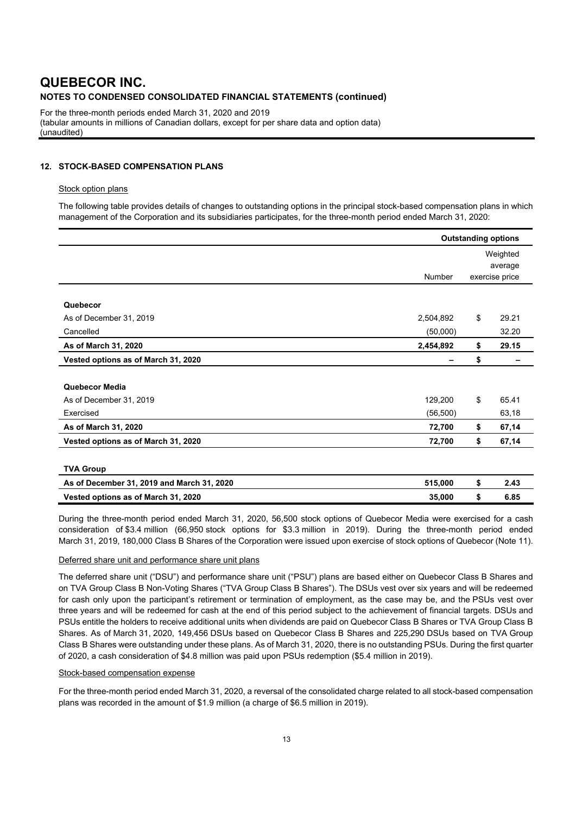For the three-month periods ended March 31, 2020 and 2019 (tabular amounts in millions of Canadian dollars, except for per share data and option data) (unaudited)

### **12. STOCK-BASED COMPENSATION PLANS**

#### Stock option plans

The following table provides details of changes to outstanding options in the principal stock-based compensation plans in which management of the Corporation and its subsidiaries participates, for the three-month period ended March 31, 2020:

|                                            |           | <b>Outstanding options</b> |                           |  |
|--------------------------------------------|-----------|----------------------------|---------------------------|--|
|                                            |           | Weighted                   |                           |  |
|                                            | Number    |                            | average<br>exercise price |  |
|                                            |           |                            |                           |  |
| Quebecor                                   |           |                            |                           |  |
| As of December 31, 2019                    | 2,504,892 | \$                         | 29.21                     |  |
| Cancelled                                  | (50,000)  |                            | 32.20                     |  |
| As of March 31, 2020                       | 2,454,892 | \$                         | 29.15                     |  |
| Vested options as of March 31, 2020        |           | \$                         |                           |  |
| Quebecor Media                             |           |                            |                           |  |
| As of December 31, 2019                    | 129,200   | \$                         | 65.41                     |  |
| Exercised                                  | (56, 500) |                            | 63,18                     |  |
| As of March 31, 2020                       | 72,700    | \$                         | 67,14                     |  |
| Vested options as of March 31, 2020        | 72,700    | \$                         | 67,14                     |  |
| <b>TVA Group</b>                           |           |                            |                           |  |
| As of December 31, 2019 and March 31, 2020 | 515,000   | \$                         | 2.43                      |  |
| Vested options as of March 31, 2020        | 35,000    | \$                         | 6.85                      |  |

During the three-month period ended March 31, 2020, 56,500 stock options of Quebecor Media were exercised for a cash consideration of \$3.4 million (66,950 stock options for \$3.3 million in 2019). During the three-month period ended March 31, 2019, 180,000 Class B Shares of the Corporation were issued upon exercise of stock options of Quebecor (Note 11).

#### Deferred share unit and performance share unit plans

The deferred share unit ("DSU") and performance share unit ("PSU") plans are based either on Quebecor Class B Shares and on TVA Group Class B Non-Voting Shares ("TVA Group Class B Shares"). The DSUs vest over six years and will be redeemed for cash only upon the participant's retirement or termination of employment, as the case may be, and the PSUs vest over three years and will be redeemed for cash at the end of this period subject to the achievement of financial targets. DSUs and PSUs entitle the holders to receive additional units when dividends are paid on Quebecor Class B Shares or TVA Group Class B Shares. As of March 31, 2020, 149,456 DSUs based on Quebecor Class B Shares and 225,290 DSUs based on TVA Group Class B Shares were outstanding under these plans. As of March 31, 2020, there is no outstanding PSUs. During the first quarter of 2020, a cash consideration of \$4.8 million was paid upon PSUs redemption (\$5.4 million in 2019).

#### Stock-based compensation expense

For the three-month period ended March 31, 2020, a reversal of the consolidated charge related to all stock-based compensation plans was recorded in the amount of \$1.9 million (a charge of \$6.5 million in 2019).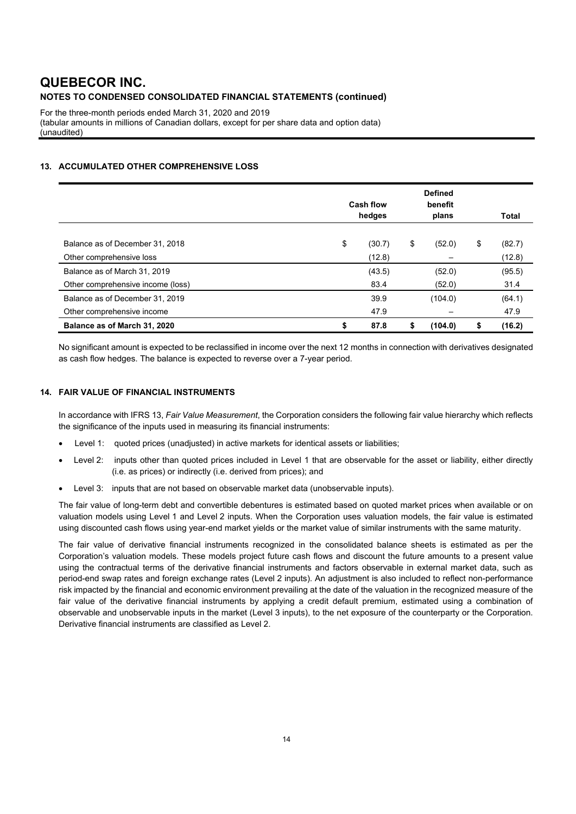For the three-month periods ended March 31, 2020 and 2019 (tabular amounts in millions of Canadian dollars, except for per share data and option data) (unaudited)

### **13. ACCUMULATED OTHER COMPREHENSIVE LOSS**

|                                   | Cash flow<br>hedges |        | <b>Defined</b><br>benefit<br>plans |         | <b>Total</b> |
|-----------------------------------|---------------------|--------|------------------------------------|---------|--------------|
|                                   |                     |        |                                    |         |              |
| Balance as of December 31, 2018   | \$                  | (30.7) | \$                                 | (52.0)  | \$<br>(82.7) |
| Other comprehensive loss          |                     | (12.8) |                                    |         | (12.8)       |
| Balance as of March 31, 2019      |                     | (43.5) |                                    | (52.0)  | (95.5)       |
| Other comprehensive income (loss) |                     | 83.4   |                                    | (52.0)  | 31.4         |
| Balance as of December 31, 2019   |                     | 39.9   |                                    | (104.0) | (64.1)       |
| Other comprehensive income        |                     | 47.9   |                                    |         | 47.9         |
| Balance as of March 31, 2020      | \$                  | 87.8   | \$                                 | (104.0) | \$<br>(16.2) |

No significant amount is expected to be reclassified in income over the next 12 months in connection with derivatives designated as cash flow hedges. The balance is expected to reverse over a 7-year period.

#### **14. FAIR VALUE OF FINANCIAL INSTRUMENTS**

In accordance with IFRS 13, *Fair Value Measurement*, the Corporation considers the following fair value hierarchy which reflects the significance of the inputs used in measuring its financial instruments:

- Level 1: quoted prices (unadjusted) in active markets for identical assets or liabilities;
- Level 2: inputs other than quoted prices included in Level 1 that are observable for the asset or liability, either directly (i.e. as prices) or indirectly (i.e. derived from prices); and
- Level 3: inputs that are not based on observable market data (unobservable inputs).

The fair value of long-term debt and convertible debentures is estimated based on quoted market prices when available or on valuation models using Level 1 and Level 2 inputs. When the Corporation uses valuation models, the fair value is estimated using discounted cash flows using year-end market yields or the market value of similar instruments with the same maturity.

The fair value of derivative financial instruments recognized in the consolidated balance sheets is estimated as per the Corporation's valuation models. These models project future cash flows and discount the future amounts to a present value using the contractual terms of the derivative financial instruments and factors observable in external market data, such as period-end swap rates and foreign exchange rates (Level 2 inputs). An adjustment is also included to reflect non-performance risk impacted by the financial and economic environment prevailing at the date of the valuation in the recognized measure of the fair value of the derivative financial instruments by applying a credit default premium, estimated using a combination of observable and unobservable inputs in the market (Level 3 inputs), to the net exposure of the counterparty or the Corporation. Derivative financial instruments are classified as Level 2.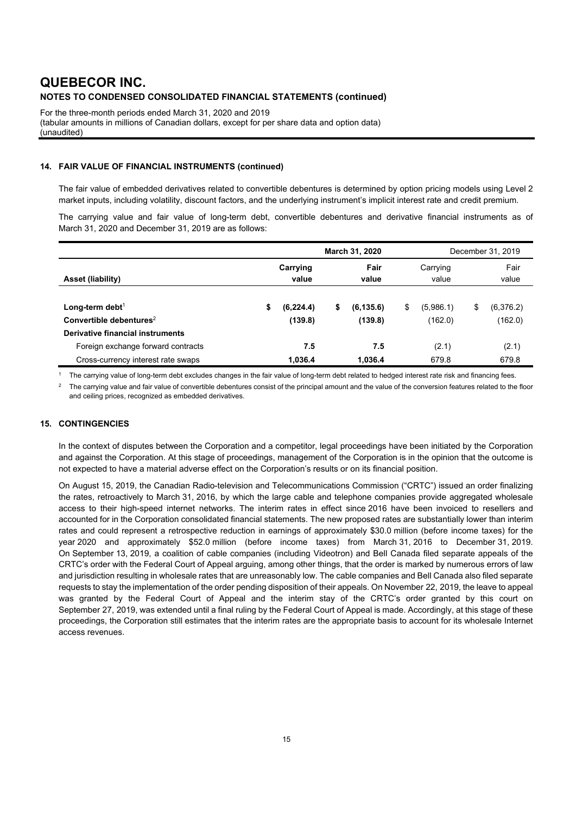For the three-month periods ended March 31, 2020 and 2019 (tabular amounts in millions of Canadian dollars, except for per share data and option data) (unaudited)

### **14. FAIR VALUE OF FINANCIAL INSTRUMENTS (continued)**

The fair value of embedded derivatives related to convertible debentures is determined by option pricing models using Level 2 market inputs, including volatility, discount factors, and the underlying instrument's implicit interest rate and credit premium.

The carrying value and fair value of long-term debt, convertible debentures and derivative financial instruments as of March 31, 2020 and December 31, 2019 are as follows:

|                                                                         | March 31, 2020 |                   |    |               | December 31, 2019 |                   |    |               |
|-------------------------------------------------------------------------|----------------|-------------------|----|---------------|-------------------|-------------------|----|---------------|
| Asset (liability)                                                       |                | Carrying<br>value |    | Fair<br>value |                   | Carrying<br>value |    | Fair<br>value |
| Long-term debt <sup>1</sup>                                             | S              | (6, 224.4)        | \$ | (6, 135.6)    | \$                | (5,986.1)         | \$ | (6,376.2)     |
| Convertible debentures <sup>2</sup><br>Derivative financial instruments |                | (139.8)           |    | (139.8)       |                   | (162.0)           |    | (162.0)       |
| Foreign exchange forward contracts                                      |                | 7.5               |    | 7.5           |                   | (2.1)             |    | (2.1)         |
| Cross-currency interest rate swaps                                      |                | 1,036.4           |    | 1.036.4       |                   | 679.8             |    | 679.8         |

1 The carrying value of long-term debt excludes changes in the fair value of long-term debt related to hedged interest rate risk and financing fees.

The carrying value and fair value of convertible debentures consist of the principal amount and the value of the conversion features related to the floor and ceiling prices, recognized as embedded derivatives.

#### **15. CONTINGENCIES**

In the context of disputes between the Corporation and a competitor, legal proceedings have been initiated by the Corporation and against the Corporation. At this stage of proceedings, management of the Corporation is in the opinion that the outcome is not expected to have a material adverse effect on the Corporation's results or on its financial position.

On August 15, 2019, the Canadian Radio-television and Telecommunications Commission ("CRTC") issued an order finalizing the rates, retroactively to March 31, 2016, by which the large cable and telephone companies provide aggregated wholesale access to their high-speed internet networks. The interim rates in effect since 2016 have been invoiced to resellers and accounted for in the Corporation consolidated financial statements. The new proposed rates are substantially lower than interim rates and could represent a retrospective reduction in earnings of approximately \$30.0 million (before income taxes) for the year 2020 and approximately \$52.0 million (before income taxes) from March 31, 2016 to December 31, 2019. On September 13, 2019, a coalition of cable companies (including Videotron) and Bell Canada filed separate appeals of the CRTC's order with the Federal Court of Appeal arguing, among other things, that the order is marked by numerous errors of law and jurisdiction resulting in wholesale rates that are unreasonably low. The cable companies and Bell Canada also filed separate requests to stay the implementation of the order pending disposition of their appeals. On November 22, 2019, the leave to appeal was granted by the Federal Court of Appeal and the interim stay of the CRTC's order granted by this court on September 27, 2019, was extended until a final ruling by the Federal Court of Appeal is made. Accordingly, at this stage of these proceedings, the Corporation still estimates that the interim rates are the appropriate basis to account for its wholesale Internet access revenues.